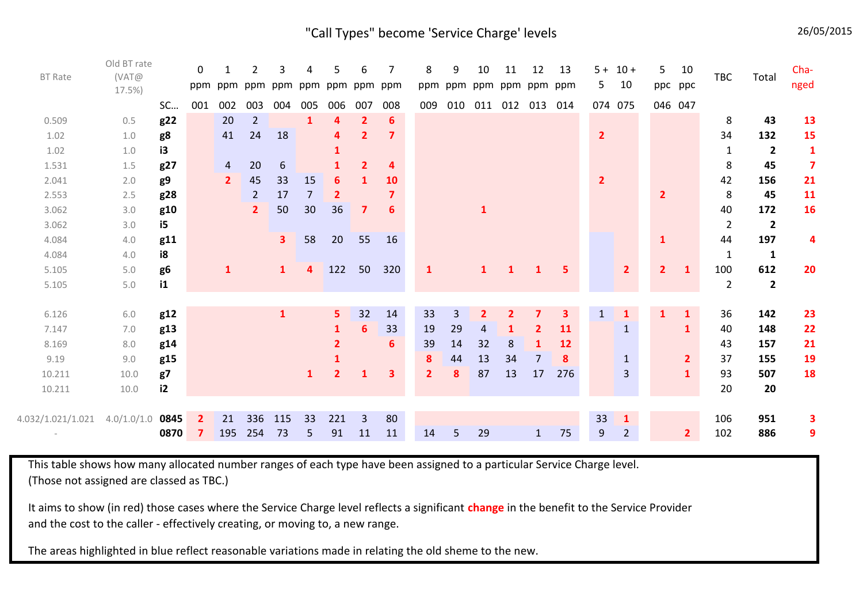"Call Types" become 'Service Charge' levels 26/05/2015

| <b>BT Rate</b>    | Old BT rate<br>(VAT@<br>17.5%) |                | $\mathbf 0$<br>ppm |                | 2<br>ppm ppm ppm ppm | 3              | Δ              | 5              | 6<br>ppm ppm   | 7<br>ppm | 8<br>ppm       | 9<br>ppm       | 10             | 11<br>ppm ppm ppm ppm | 12             | 13        | 5              | $5 + 10 +$<br>10 | 5              | 10<br>ppc ppc  | TBC            | Total                   | Cha-<br>nged            |
|-------------------|--------------------------------|----------------|--------------------|----------------|----------------------|----------------|----------------|----------------|----------------|----------|----------------|----------------|----------------|-----------------------|----------------|-----------|----------------|------------------|----------------|----------------|----------------|-------------------------|-------------------------|
|                   |                                | SC             | 001                | 002            | 003                  | 004            | 005            | 006            | 007            | 008      | 009            | 010            | 011            |                       | 012 013        | 014       |                | 074 075          | 046 047        |                |                |                         |                         |
| 0.509             | 0.5                            | g22            |                    | 20             | $\overline{2}$       |                | 1              | 4              | $\overline{2}$ | 6        |                |                |                |                       |                |           |                |                  |                |                | 8              | 43                      | 13                      |
| 1.02              | 1.0                            | g8             |                    | 41             | 24                   | 18             |                | 4              | $\overline{2}$ |          |                |                |                |                       |                |           | $\overline{2}$ |                  |                |                | 34             | 132                     | 15                      |
| 1.02              | 1.0                            | i3             |                    |                |                      |                |                |                |                |          |                |                |                |                       |                |           |                |                  |                |                | $\mathbf{1}$   | $\overline{2}$          | $\mathbf{1}$            |
| 1.531             | 1.5                            | g27            |                    | $\overline{4}$ | 20                   | 6              |                |                | $\overline{2}$ | Δ        |                |                |                |                       |                |           |                |                  |                |                | 8              | 45                      | $\overline{\mathbf{z}}$ |
| 2.041             | 2.0                            | g9             |                    | $\overline{2}$ | 45                   | 33             | 15             | 6              | 1              | 10       |                |                |                |                       |                |           | $\overline{2}$ |                  |                |                | 42             | 156                     | 21                      |
| 2.553             | 2.5                            | g28            |                    |                | $\overline{2}$       | 17             | $\overline{7}$ | $\mathbf{2}$   |                |          |                |                |                |                       |                |           |                |                  | 2              |                | 8              | 45                      | 11                      |
| 3.062             | 3.0                            | g10            |                    |                | $\mathbf{2}$         | 50             | 30             | 36             | $\mathbf{7}$   | 6        |                |                | $\mathbf{1}$   |                       |                |           |                |                  |                |                | 40             | 172                     | 16                      |
| 3.062             | 3.0                            | i5             |                    |                |                      |                |                |                |                |          |                |                |                |                       |                |           |                |                  |                |                | $\overline{2}$ | $\overline{2}$          |                         |
| 4.084             | 4.0                            | g11            |                    |                |                      | 3 <sup>1</sup> | 58             | 20             | 55             | 16       |                |                |                |                       |                |           |                |                  | 1              |                | 44             | 197                     | 4                       |
| 4.084             | 4.0                            | i8             |                    |                |                      |                |                |                |                |          |                |                |                |                       |                |           |                |                  |                |                | $\mathbf{1}$   | $\mathbf{1}$            |                         |
| 5.105             | 5.0                            | g <sub>6</sub> |                    | $\mathbf{1}$   |                      | $\mathbf{1}$   | 4              | 122            | 50             | 320      | $\mathbf{1}$   |                | $\mathbf{1}$   | 1                     | 1              | 5         |                | $\overline{2}$   | 2 <sup>1</sup> | $\mathbf{1}$   | 100            | 612                     | 20                      |
| 5.105             | 5.0                            | i1             |                    |                |                      |                |                |                |                |          |                |                |                |                       |                |           |                |                  |                |                | $\overline{2}$ | $\overline{\mathbf{2}}$ |                         |
|                   |                                |                |                    |                |                      |                |                |                |                |          |                |                |                |                       |                |           |                |                  |                |                |                |                         |                         |
| 6.126             | 6.0                            | g12            |                    |                |                      | $\mathbf{1}$   |                | 5              | 32             | 14       | 33             | $\overline{3}$ | $\overline{2}$ | $\mathbf{2}$          | 7              | 3.        | $\mathbf{1}$   |                  |                | $\mathbf{1}$   | 36             | 142                     | 23                      |
| 7.147             | 7.0                            | g13            |                    |                |                      |                |                |                | 6              | 33       | 19             | 29             | 4              | 1                     | $\overline{2}$ | <b>11</b> |                | $\mathbf{1}$     |                | $\mathbf{1}$   | 40             | 148                     | 22                      |
| 8.169             | 8.0                            | g14            |                    |                |                      |                |                | $\mathbf{2}$   |                | 6        | 39             | 14             | 32             | 8                     | 1              | 12        |                |                  |                |                | 43             | 157                     | 21                      |
| 9.19              | 9.0                            | g15            |                    |                |                      |                |                |                |                |          | 8              | 44             | 13             | 34                    | 7              | 8         |                | 1                |                | $\overline{2}$ | 37             | 155                     | 19                      |
| 10.211            | 10.0                           | g7             |                    |                |                      |                | $\mathbf{1}$   | $\overline{2}$ | 1              | 3        | $\overline{2}$ | 8              | 87             | 13                    | 17             | 276       |                | 3                |                | $\mathbf{1}$   | 93             | 507                     | 18                      |
| 10.211            | 10.0                           | i2             |                    |                |                      |                |                |                |                |          |                |                |                |                       |                |           |                |                  |                |                | 20             | 20                      |                         |
|                   |                                |                |                    |                |                      |                |                |                |                |          |                |                |                |                       |                |           |                |                  |                |                |                |                         |                         |
| 4.032/1.021/1.021 | 4.0/1.0/1.0                    | 0845           | $\mathbf{2}$       | 21             | 336                  | 115            | 33             | 221            | $\overline{3}$ | 80       |                |                |                |                       |                |           | 33             | $\mathbf{1}$     |                |                | 106            | 951                     | 3                       |
|                   |                                | 0870           | 7                  | 195            | 254                  | 73             | 5              | 91             | 11             | 11       | 14             | 5              | 29             |                       | $\mathbf{1}$   | 75        | $9$            | $\overline{2}$   |                | $\overline{2}$ | 102            | 886                     | 9                       |

This table shows how many allocated number ranges of each type have been assigned to a particular Service Charge level. (Those not assigned are classed as TBC.)

It aims to show (in red) those cases where the Service Charge level reflects a significant **change** in the benefit to the Service Provider and the cost to the caller - effectively creating, or moving to, a new range.

The areas highlighted in blue reflect reasonable variations made in relating the old sheme to the new.